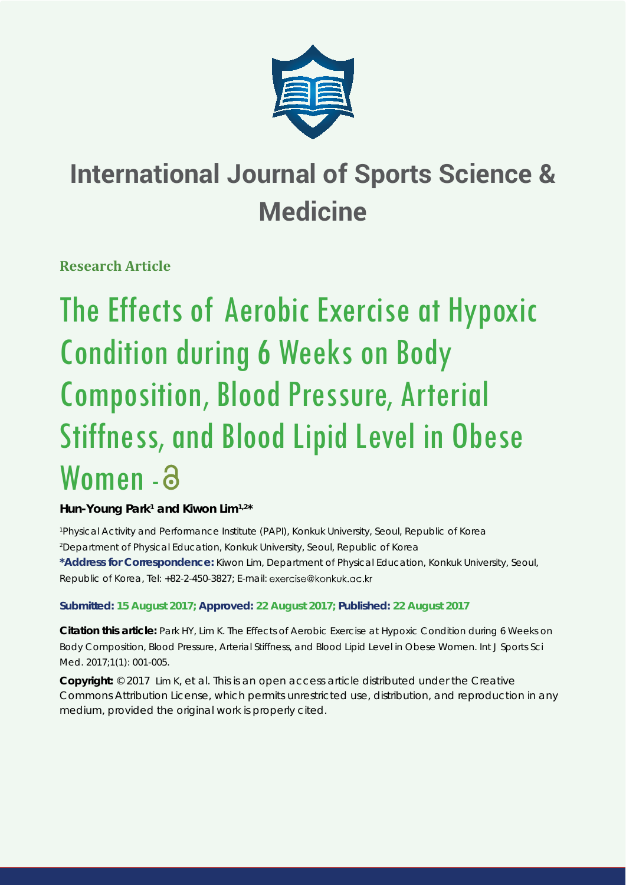

# **International Journal of Sports Science & Medicine**

**Research Article**

The Effects of Aerobic Exercise at Hypoxic Condition during 6 Weeks on Body Composition, Blood Pressure, Arterial Stiffness, and Blood Lipid Level in Obese Women - a

# Hun-Young Park<sup>1</sup> and Kiwon Lim<sup>1,2\*</sup>

*1 Physical Activity and Performance Institute (PAPI), Konkuk University, Seoul, Republic of Korea 2 Department of Physical Education, Konkuk University, Seoul, Republic of Korea*

**\*Address for Correspondence:** Kiwon Lim, Department of Physical Education, Konkuk University, Seoul, Republic of Korea, Tel: +82-2-450-3827; E-mail:

# **Submitted: 15 August 2017; Approved: 22 August 2017; Published: 22 August 2017**

**Citation this article:** Park HY, Lim K. The Effects of Aerobic Exercise at Hypoxic Condition during 6 Weeks on Body Composition, Blood Pressure, Arterial Stiffness, and Blood Lipid Level in Obese Women. Int J Sports Sci Med. 2017;1(1): 001-005.

**Copyright:** © 2017 Lim K, et al. This is an open access article distributed under the Creative Commons Attribution License, which permits unrestricted use, distribution, and reproduction in any medium, provided the original work is properly cited.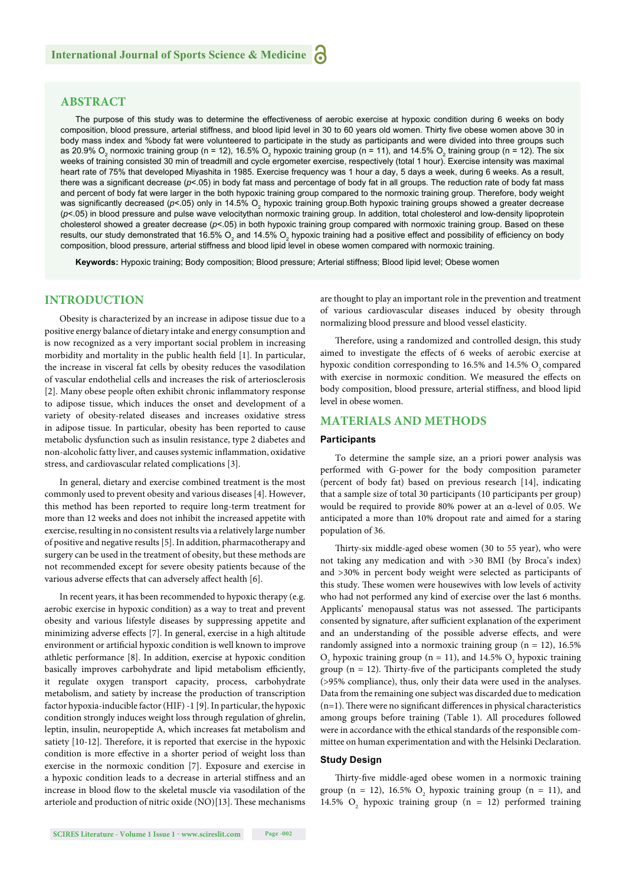# **ABSTRACT**

The purpose of this study was to determine the effectiveness of aerobic exercise at hypoxic condition during 6 weeks on body composition, blood pressure, arterial stiffness, and blood lipid level in 30 to 60 years old women. Thirty five obese women above 30 in body mass index and %body fat were volunteered to participate in the study as participants and were divided into three groups such as 20.9% O<sub>2</sub> normoxic training group (n = 12), 16.5% O<sub>2</sub> hypoxic training group (n = 11), and 14.5% O<sub>2</sub> training group (n = 12). The six weeks of training consisted 30 min of treadmill and cycle ergometer exercise, respectively (total 1 hour). Exercise intensity was maximal heart rate of 75% that developed Miyashita in 1985. Exercise frequency was 1 hour a day, 5 days a week, during 6 weeks. As a result, there was a significant decrease ( $p$ <.05) in body fat mass and percentage of body fat in all groups. The reduction rate of body fat mass and percent of body fat were larger in the both hypoxic training group compared to the normoxic training group. Therefore, body weight was significantly decreased (*p*<.05) only in 14.5% O<sub>2</sub> hypoxic training group.Both hypoxic training groups showed a greater decrease (*p*<.05) in blood pressure and pulse wave velocitythan normoxic training group. In addition, total cholesterol and low-density lipoprotein cholesterol showed a greater decrease (*p*<.05) in both hypoxic training group compared with normoxic training group. Based on these results, our study demonstrated that 16.5%  $\rm O_2$  and 14.5%  $\rm O_2$  hypoxic training had a positive effect and possibility of efficiency on body composition, blood pressure, arterial stiffness and blood lipid level in obese women compared with normoxic training.

**Keywords:** Hypoxic training; Body composition; Blood pressure; Arterial stiffness; Blood lipid level; Obese women

## **INTRODUCTION**

Obesity is characterized by an increase in adipose tissue due to a positive energy balance of dietary intake and energy consumption and is now recognized as a very important social problem in increasing morbidity and mortality in the public health field [1]. In particular, the increase in visceral fat cells by obesity reduces the vasodilation of vascular endothelial cells and increases the risk of arteriosclerosis [2]. Many obese people often exhibit chronic inflammatory response to adipose tissue, which induces the onset and development of a variety of obesity-related diseases and increases oxidative stress in adipose tissue. In particular, obesity has been reported to cause metabolic dysfunction such as insulin resistance, type 2 diabetes and non-alcoholic fatty liver, and causes systemic inflammation, oxidative stress, and cardiovascular related complications [3].

In general, dietary and exercise combined treatment is the most commonly used to prevent obesity and various diseases [4]. However, this method has been reported to require long-term treatment for more than 12 weeks and does not inhibit the increased appetite with exercise, resulting in no consistent results via a relatively large number of positive and negative results [5]. In addition, pharmacotherapy and surgery can be used in the treatment of obesity, but these methods are not recommended except for severe obesity patients because of the various adverse effects that can adversely affect health [6].

In recent years, it has been recommended to hypoxic therapy (e.g. aerobic exercise in hypoxic condition) as a way to treat and prevent obesity and various lifestyle diseases by suppressing appetite and minimizing adverse effects [7]. In general, exercise in a high altitude environment or artificial hypoxic condition is well known to improve athletic performance [8]. In addition, exercise at hypoxic condition basically improves carbohydrate and lipid metabolism efficiently, it regulate oxygen transport capacity, process, carbohydrate metabolism, and satiety by increase the production of transcription factor hypoxia-inducible factor (HIF) -1 [9]. In particular, the hypoxic condition strongly induces weight loss through regulation of ghrelin, leptin, insulin, neuropeptide A, which increases fat metabolism and satiety [10-12]. Therefore, it is reported that exercise in the hypoxic condition is more effective in a shorter period of weight loss than exercise in the normoxic condition [7]. Exposure and exercise in a hypoxic condition leads to a decrease in arterial stiffness and an increase in blood flow to the skeletal muscle via vasodilation of the arteriole and production of nitric oxide (NO)[13]. These mechanisms are thought to play an important role in the prevention and treatment of various cardiovascular diseases induced by obesity through normalizing blood pressure and blood vessel elasticity.

Therefore, using a randomized and controlled design, this study aimed to investigate the effects of 6 weeks of aerobic exercise at hypoxic condition corresponding to  $16.5\%$  and  $14.5\%$  O<sub>2</sub> compared with exercise in normoxic condition. We measured the effects on body composition, blood pressure, arterial stiffness, and blood lipid level in obese women.

## **MATERIALS AND METHODS**

#### **Participants**

To determine the sample size, an a priori power analysis was performed with G-power for the body composition parameter (percent of body fat) based on previous research [14], indicating that a sample size of total 30 participants (10 participants per group) would be required to provide 80% power at an α-level of 0.05. We anticipated a more than 10% dropout rate and aimed for a staring population of 36.

Thirty-six middle-aged obese women (30 to 55 year), who were not taking any medication and with >30 BMI (by Broca's index) and >30% in percent body weight were selected as participants of this study. These women were housewives with low levels of activity who had not performed any kind of exercise over the last 6 months. Applicants' menopausal status was not assessed. The participants consented by signature, after sufficient explanation of the experiment and an understanding of the possible adverse effects, and were randomly assigned into a normoxic training group ( $n = 12$ ), 16.5%  $O_2$  hypoxic training group (n = 11), and 14.5%  $O_2$  hypoxic training group ( $n = 12$ ). Thirty-five of the participants completed the study (>95% compliance), thus, only their data were used in the analyses. Data from the remaining one subject was discarded due to medication  $(n=1)$ . There were no significant differences in physical characteristics among groups before training (Table 1). All procedures followed were in accordance with the ethical standards of the responsible committee on human experimentation and with the Helsinki Declaration.

#### **Study Design**

Thirty-five middle-aged obese women in a normoxic training group (n = 12), 16.5%  $O_2$  hypoxic training group (n = 11), and 14.5%  $O_2$  hypoxic training group (n = 12) performed training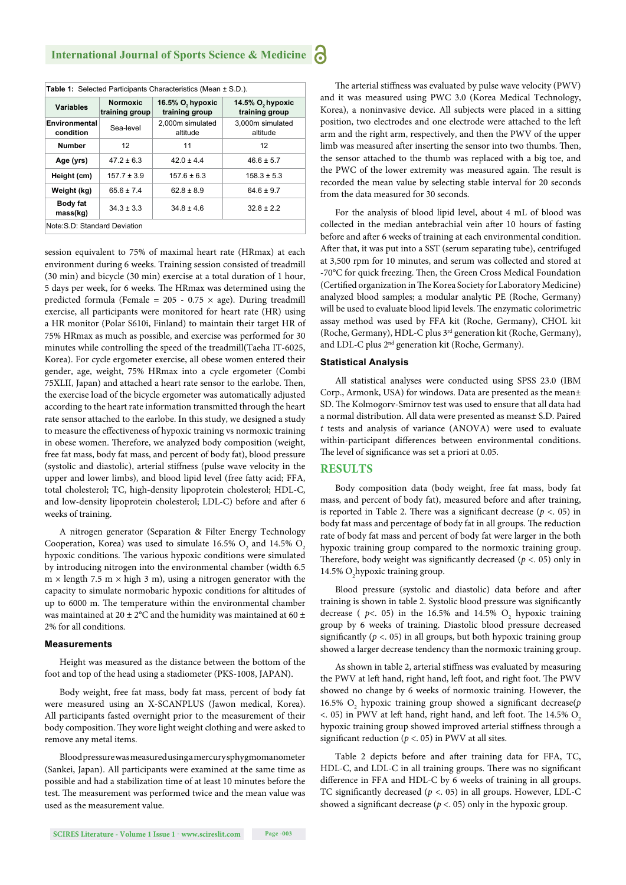| Table 1: Selected Participants Characteristics (Mean ± S.D.). |                                   |                                                |                                                |  |  |  |  |  |
|---------------------------------------------------------------|-----------------------------------|------------------------------------------------|------------------------------------------------|--|--|--|--|--|
| <b>Variables</b>                                              | <b>Normoxic</b><br>training group | 16.5% O <sub>2</sub> hypoxic<br>training group | 14.5% O <sub>2</sub> hypoxic<br>training group |  |  |  |  |  |
| Environmental<br>condition                                    | Sea-level                         | 2,000m simulated<br>altitude                   | 3,000m simulated<br>altitude                   |  |  |  |  |  |
| <b>Number</b>                                                 | 12                                | 11                                             | 12                                             |  |  |  |  |  |
| Age (yrs)                                                     | $47.2 \pm 6.3$                    | $42.0 \pm 4.4$                                 | $46.6 \pm 5.7$                                 |  |  |  |  |  |
| Height (cm)                                                   | $157.7 \pm 3.9$                   | $157.6 \pm 6.3$                                | $158.3 \pm 5.3$                                |  |  |  |  |  |
| Weight (kg)                                                   | $65.6 \pm 7.4$                    | $62.8 \pm 8.9$                                 | $64.6 \pm 9.7$                                 |  |  |  |  |  |
| <b>Body fat</b><br>mass(kg)                                   | $34.3 \pm 3.3$                    | $34.8 \pm 4.6$                                 | $32.8 \pm 2.2$                                 |  |  |  |  |  |
| Note: S.D: Standard Deviation                                 |                                   |                                                |                                                |  |  |  |  |  |

session equivalent to 75% of maximal heart rate (HRmax) at each environment during 6 weeks. Training session consisted of treadmill (30 min) and bicycle (30 min) exercise at a total duration of 1 hour, 5 days per week, for 6 weeks. The HRmax was determined using the predicted formula (Female =  $205 - 0.75 \times age$ ). During treadmill exercise, all participants were monitored for heart rate (HR) using a HR monitor (Polar S610i, Finland) to maintain their target HR of 75% HRmax as much as possible, and exercise was performed for 30 minutes while controlling the speed of the treadmill(Taeha IT-6025, Korea). For cycle ergometer exercise, all obese women entered their gender, age, weight, 75% HRmax into a cycle ergometer (Combi 75XLII, Japan) and attached a heart rate sensor to the earlobe. Then, the exercise load of the bicycle ergometer was automatically adjusted according to the heart rate information transmitted through the heart rate sensor attached to the earlobe. In this study, we designed a study to measure the effectiveness of hypoxic training vs normoxic training in obese women. Therefore, we analyzed body composition (weight, free fat mass, body fat mass, and percent of body fat), blood pressure (systolic and diastolic), arterial stiffness (pulse wave velocity in the upper and lower limbs), and blood lipid level (free fatty acid; FFA, total cholesterol; TC, high-density lipoprotein cholesterol; HDL-C, and low-density lipoprotein cholesterol; LDL-C) before and after 6 weeks of training.

A nitrogen generator (Separation & Filter Energy Technology Cooperation, Korea) was used to simulate 16.5%  $O_2$  and 14.5%  $O_2$ hypoxic conditions. The various hypoxic conditions were simulated by introducing nitrogen into the environmental chamber (width 6.5  $m \times$  length 7.5 m  $\times$  high 3 m), using a nitrogen generator with the capacity to simulate normobaric hypoxic conditions for altitudes of up to 6000 m. The temperature within the environmental chamber was maintained at 20  $\pm$  2°C and the humidity was maintained at 60  $\pm$ 2% for all conditions.

#### **Measurements**

Height was measured as the distance between the bottom of the foot and top of the head using a stadiometer (PKS-1008, JAPAN).

Body weight, free fat mass, body fat mass, percent of body fat were measured using an X-SCANPLUS (Jawon medical, Korea). All participants fasted overnight prior to the measurement of their body composition. They wore light weight clothing and were asked to remove any metal items.

Blood pressure was measured using a mercury sphygmomanometer (Sankei, Japan). All participants were examined at the same time as possible and had a stabilization time of at least 10 minutes before the test. The measurement was performed twice and the mean value was used as the measurement value.

The arterial stiffness was evaluated by pulse wave velocity (PWV) and it was measured using PWC 3.0 (Korea Medical Technology, Korea), a noninvasive device. All subjects were placed in a sitting position, two electrodes and one electrode were attached to the left arm and the right arm, respectively, and then the PWV of the upper limb was measured after inserting the sensor into two thumbs. Then, the sensor attached to the thumb was replaced with a big toe, and the PWC of the lower extremity was measured again. The result is recorded the mean value by selecting stable interval for 20 seconds from the data measured for 30 seconds.

For the analysis of blood lipid level, about 4 mL of blood was collected in the median antebrachial vein after 10 hours of fasting before and after 6 weeks of training at each environmental condition. After that, it was put into a SST (serum separating tube), centrifuged at 3,500 rpm for 10 minutes, and serum was collected and stored at -70°C for quick freezing. Then, the Green Cross Medical Foundation (Certified organization in The Korea Society for Laboratory Medicine) analyzed blood samples; a modular analytic PE (Roche, Germany) will be used to evaluate blood lipid levels. The enzymatic colorimetric assay method was used by FFA kit (Roche, Germany), CHOL kit (Roche, Germany), HDL-C plus 3rd generation kit (Roche, Germany), and LDL-C plus 2nd generation kit (Roche, Germany).

#### **Statistical Analysis**

All statistical analyses were conducted using SPSS 23.0 (IBM Corp., Armonk, USA) for windows. Data are presented as the mean± SD. The Kolmogorv-Smirnov test was used to ensure that all data had a normal distribution. All data were presented as means± S.D. Paired *t* tests and analysis of variance (ANOVA) were used to evaluate within-participant differences between environmental conditions. The level of significance was set a priori at 0.05.

#### **RESULTS**

Body composition data (body weight, free fat mass, body fat mass, and percent of body fat), measured before and after training, is reported in Table 2. There was a significant decrease  $(p < .05)$  in body fat mass and percentage of body fat in all groups. The reduction rate of body fat mass and percent of body fat were larger in the both hypoxic training group compared to the normoxic training group. Therefore, body weight was significantly decreased ( $p <$ . 05) only in 14.5%  $O_2$ hypoxic training group.

Blood pressure (systolic and diastolic) data before and after training is shown in table 2. Systolic blood pressure was significantly decrease ( $p$ <. 05) in the 16.5% and 14.5%  $O_2$  hypoxic training group by 6 weeks of training. Diastolic blood pressure decreased significantly ( $p <$ . 05) in all groups, but both hypoxic training group showed a larger decrease tendency than the normoxic training group.

As shown in table 2, arterial stiffness was evaluated by measuring the PWV at left hand, right hand, left foot, and right foot. The PWV showed no change by 6 weeks of normoxic training. However, the 16.5% O<sub>2</sub> hypoxic training group showed a significant decrease(p  $<$ . 05) in PWV at left hand, right hand, and left foot. The 14.5% O<sub>2</sub> hypoxic training group showed improved arterial stiffness through a significant reduction ( $p <$ . 05) in PWV at all sites.

Table 2 depicts before and after training data for FFA, TC, HDL-C, and LDL-C in all training groups. There was no significant difference in FFA and HDL-C by 6 weeks of training in all groups. TC significantly decreased ( $p <$ . 05) in all groups. However, LDL-C showed a significant decrease ( $p < 0.05$ ) only in the hypoxic group.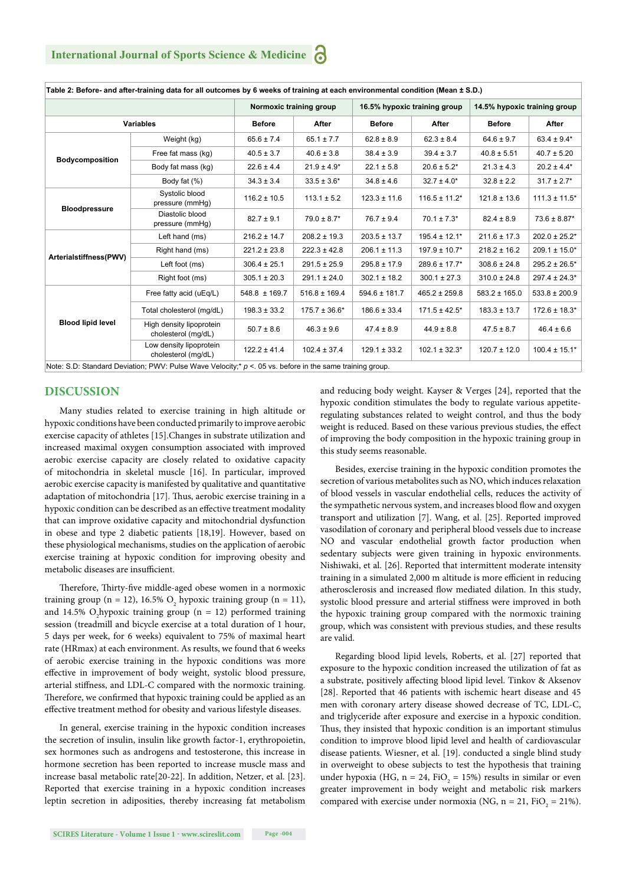|                          |                                                 | Normoxic training group |                    | 16.5% hypoxic training group |                               | 14.5% hypoxic training group |                    |
|--------------------------|-------------------------------------------------|-------------------------|--------------------|------------------------------|-------------------------------|------------------------------|--------------------|
| <b>Variables</b>         |                                                 | <b>Before</b>           | <b>After</b>       | <b>Before</b>                | After                         | <b>Before</b>                | After              |
| Bodycomposition          | Weight (kg)                                     | $65.6 \pm 7.4$          | $65.1 \pm 7.7$     | $62.8 \pm 8.9$               | $62.3 \pm 8.4$                | $64.6 \pm 9.7$               | $63.4 \pm 9.4*$    |
|                          | Free fat mass (kg)                              | $40.5 \pm 3.7$          | $40.6 \pm 3.8$     | $38.4 \pm 3.9$               | $39.4 \pm 3.7$                | $40.8 \pm 5.51$              | $40.7 \pm 5.20$    |
|                          | Body fat mass (kg)                              | $22.6 \pm 4.4$          | $21.9 \pm 4.9*$    | $22.1 \pm 5.8$               | $20.6 \pm 5.2^*$              | $21.3 \pm 4.3$               | $20.2 \pm 4.4*$    |
|                          | Body fat (%)                                    | $34.3 \pm 3.4$          | $33.5 \pm 3.6^*$   | $34.8 \pm 4.6$               | $32.7 \pm 4.0*$               | $32.8 \pm 2.2$               | $31.7 \pm 2.7$ *   |
| <b>Bloodpressure</b>     | Systolic blood<br>pressure (mmHq)               | $116.2 \pm 10.5$        | $113.1 \pm 5.2$    | $123.3 \pm 11.6$             | $116.5 \pm 11.2$ *            | $121.8 \pm 13.6$             | $111.3 \pm 11.5$ * |
|                          | Diastolic blood<br>pressure (mmHg)              | $82.7 \pm 9.1$          | $79.0 \pm 8.7*$    | $76.7 \pm 9.4$               | $70.1 \pm 7.3*$               | $82.4 \pm 8.9$               | $73.6 \pm 8.87*$   |
| Arterialstiffness(PWV)   | Left hand (ms)                                  | $216.2 \pm 14.7$        | $208.2 \pm 19.3$   | $203.5 \pm 13.7$             | $195.4 \pm 12.1*$             | $211.6 \pm 17.3$             | $202.0 \pm 25.2$ * |
|                          | Right hand (ms)                                 | $221.2 \pm 23.8$        | $222.3 \pm 42.8$   | $206.1 \pm 11.3$             | $197.9 \pm 10.7$ <sup>*</sup> | $218.2 \pm 16.2$             | $209.1 \pm 15.0*$  |
|                          | Left foot (ms)                                  | $306.4 \pm 25.1$        | $291.5 \pm 25.9$   | $295.8 \pm 17.9$             | $289.6 \pm 17.7*$             | $308.6 \pm 24.8$             | $295.2 \pm 26.5^*$ |
|                          | Right foot (ms)                                 | $305.1 \pm 20.3$        | $291.1 \pm 24.0$   | $302.1 \pm 18.2$             | $300.1 \pm 27.3$              | $310.0 \pm 24.8$             | $297.4 \pm 24.3*$  |
| <b>Blood lipid level</b> | Free fatty acid (uEq/L)                         | $548.8 \pm 169.7$       | $516.8 \pm 169.4$  | $594.6 \pm 181.7$            | $465.2 \pm 259.8$             | $583.2 \pm 165.0$            | $533.8 \pm 200.9$  |
|                          | Total cholesterol (mg/dL)                       | $198.3 \pm 33.2$        | $175.7 \pm 36.6^*$ | $186.6 \pm 33.4$             | $171.5 \pm 42.5^*$            | $183.3 \pm 13.7$             | $172.6 \pm 18.3*$  |
|                          | High density lipoprotein<br>cholesterol (mg/dL) | $50.7 \pm 8.6$          | $46.3 \pm 9.6$     | $47.4 \pm 8.9$               | $44.9 \pm 8.8$                | $47.5 \pm 8.7$               | $46.4 \pm 6.6$     |
|                          | Low density lipoprotein<br>cholesterol (mg/dL)  | $122.2 \pm 41.4$        | $102.4 \pm 37.4$   | $129.1 \pm 33.2$             | $102.1 \pm 32.3^*$            | $120.7 \pm 12.0$             | $100.4 \pm 15.1*$  |

**Table 2: Before- and after-training data for all outcomes by 6 weeks of training at each environmental condition (Mean ± S.D.)**

### **DISCUSSION**

Many studies related to exercise training in high altitude or hypoxic conditions have been conducted primarily to improve aerobic exercise capacity of athletes [15].Changes in substrate utilization and increased maximal oxygen consumption associated with improved aerobic exercise capacity are closely related to oxidative capacity of mitochondria in skeletal muscle [16]. In particular, improved aerobic exercise capacity is manifested by qualitative and quantitative adaptation of mitochondria [17]. Thus, aerobic exercise training in a hypoxic condition can be described as an effective treatment modality that can improve oxidative capacity and mitochondrial dysfunction in obese and type 2 diabetic patients [18,19]. However, based on these physiological mechanisms, studies on the application of aerobic exercise training at hypoxic condition for improving obesity and metabolic diseases are insufficient.

Therefore, Thirty-five middle-aged obese women in a normoxic training group (n = 12), 16.5%  $O_2$  hypoxic training group (n = 11), and 14.5% O<sub>2</sub>hypoxic training group ( $n = 12$ ) performed training session (treadmill and bicycle exercise at a total duration of 1 hour, 5 days per week, for 6 weeks) equivalent to 75% of maximal heart rate (HRmax) at each environment. As results, we found that 6 weeks of aerobic exercise training in the hypoxic conditions was more effective in improvement of body weight, systolic blood pressure, arterial stiffness, and LDL-C compared with the normoxic training. Therefore, we confirmed that hypoxic training could be applied as an effective treatment method for obesity and various lifestyle diseases.

In general, exercise training in the hypoxic condition increases the secretion of insulin, insulin like growth factor-1, erythropoietin, sex hormones such as androgens and testosterone, this increase in hormone secretion has been reported to increase muscle mass and increase basal metabolic rate[20-22]. In addition, Netzer, et al. [23]. Reported that exercise training in a hypoxic condition increases leptin secretion in adiposities, thereby increasing fat metabolism and reducing body weight. Kayser & Verges [24], reported that the hypoxic condition stimulates the body to regulate various appetiteregulating substances related to weight control, and thus the body weight is reduced. Based on these various previous studies, the effect of improving the body composition in the hypoxic training group in this study seems reasonable.

Besides, exercise training in the hypoxic condition promotes the secretion of various metabolites such as NO, which induces relaxation of blood vessels in vascular endothelial cells, reduces the activity of the sympathetic nervous system, and increases blood flow and oxygen transport and utilization [7]. Wang, et al. [25]. Reported improved vasodilation of coronary and peripheral blood vessels due to increase NO and vascular endothelial growth factor production when sedentary subjects were given training in hypoxic environments. Nishiwaki, et al. [26]. Reported that intermittent moderate intensity training in a simulated 2,000 m altitude is more efficient in reducing atherosclerosis and increased flow mediated dilation. In this study, systolic blood pressure and arterial stiffness were improved in both the hypoxic training group compared with the normoxic training group, which was consistent with previous studies, and these results are valid.

Regarding blood lipid levels, Roberts, et al. [27] reported that exposure to the hypoxic condition increased the utilization of fat as a substrate, positively affecting blood lipid level. Tinkov & Aksenov [28]. Reported that 46 patients with ischemic heart disease and 45 men with coronary artery disease showed decrease of TC, LDL-C, and triglyceride after exposure and exercise in a hypoxic condition. Thus, they insisted that hypoxic condition is an important stimulus condition to improve blood lipid level and health of cardiovascular disease patients. Wiesner, et al. [19]. conducted a single blind study in overweight to obese subjects to test the hypothesis that training under hypoxia (HG,  $n = 24$ , FiO<sub>2</sub> = 15%) results in similar or even greater improvement in body weight and metabolic risk markers compared with exercise under normoxia (NG,  $n = 21$ , FiO<sub>2</sub> = 21%).